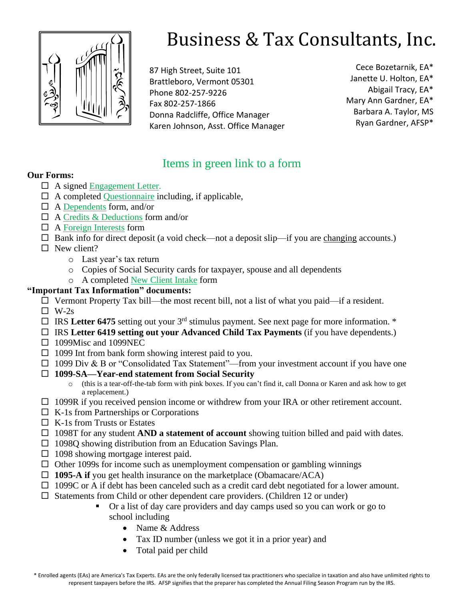

# Business & Tax Consultants, Inc.

87 High Street, Suite 101 Brattleboro, Vermont 05301 Phone 802-257-9226 Fax 802-257-1866 Donna Radcliffe, Office Manager Karen Johnson, Asst. Office Manager

Cece Bozetarnik, EA\* Janette U. Holton, EA\* Abigail Tracy, EA\* Mary Ann Gardner, EA\* Barbara A. Taylor, MS Ryan Gardner, AFSP\*

# Items in green link to a form

# **Our Forms:**

- A signed [Engagement Letter.](https://vermonttaxservices.com/files/Tax-Materials-Checklist-2020.pdf)
- $\Box$  A completed [Questionnaire](https://vermonttaxservices.com/files/Questionnaire-2020.pdf) including, if applicable,
- $\Box$  A [Dependents](https://vermonttaxservices.com/files/Dependents-2020-1.pdf) form, and/or
- $\Box$  A [Credits & Deductions](https://vermonttaxservices.com/files/Credits-Deductions-2020.pdf) form and/or
- $\Box$  A [Foreign Interests](https://vermonttaxservices.com/files/Foreign-Interest-Worksheet-2020.pdf) form
- $\Box$  Bank info for direct deposit (a void check—not a deposit slip—if you are changing accounts.)
- $\Box$  New client?
	- o Last year's tax return
	- o Copies of Social Security cards for taxpayer, spouse and all dependents
	- o A completed [New Client Intake](https://vermonttaxservices.com/files/New-Client-Intake-2020.pdf) form

#### **"Important Tax Information" documents:**

- $\Box$  Vermont Property Tax bill—the most recent bill, not a list of what you paid—if a resident.
- $\Box$  W-2s
- $\Box$  IRS Letter 6475 setting out your 3<sup>rd</sup> stimulus payment. See next page for more information. \*
- IRS **Letter 6419 setting out your Advanced Child Tax Payments** (if you have dependents.)
- $\Box$  1099Misc and 1099NEC
- $\Box$  1099 Int from bank form showing interest paid to you.
- $\Box$  1099 Div & B or "Consolidated Tax Statement"—from your investment account if you have one
- **1099-SA—Year-end statement from Social Security** 
	- o (this is a tear-off-the-tab form with pink boxes. If you can't find it, call Donna or Karen and ask how to get a replacement.)
- $\Box$  1099R if you received pension income or withdrew from your IRA or other retirement account.
- $\Box$  K-1s from Partnerships or Corporations
- $\Box$  K-1s from Trusts or Estates
- □ 1098T for any student **AND a statement of account** showing tuition billed and paid with dates.
- $\Box$  1098Q showing distribution from an Education Savings Plan.
- $\Box$  1098 showing mortgage interest paid.
- $\Box$  Other 1099s for income such as unemployment compensation or gambling winnings
- □ 1095-A if you get health insurance on the marketplace (Obamacare/ACA)
- $\Box$  1099C or A if debt has been canceled such as a credit card debt negotiated for a lower amount.
- $\square$  Statements from Child or other dependent care providers. (Children 12 or under)
	- Or a list of day care providers and day camps used so you can work or go to school including
		- Name & Address
		- Tax ID number (unless we got it in a prior year) and
		- Total paid per child